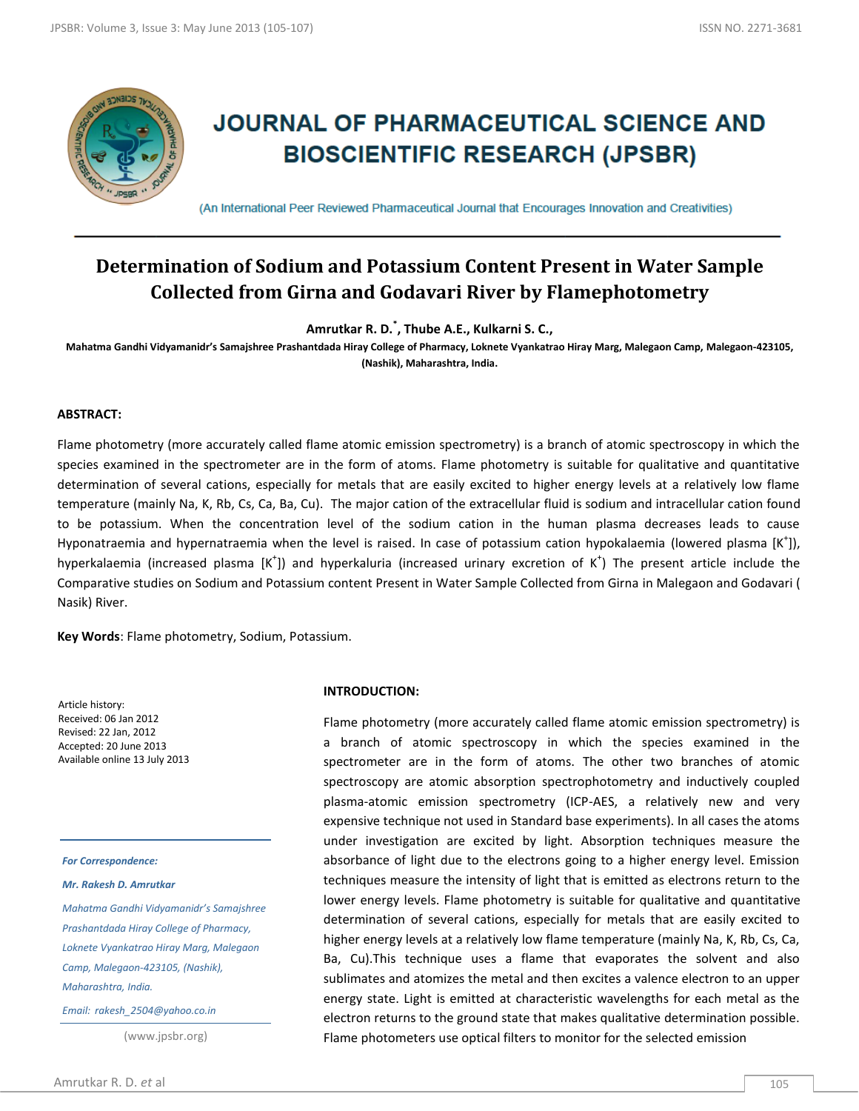

# **JOURNAL OF PHARMACEUTICAL SCIENCE AND BIOSCIENTIFIC RESEARCH (JPSBR)**

(An International Peer Reviewed Pharmaceutical Journal that Encourages Innovation and Creativities)

# **Determination of Sodium and Potassium Content Present in Water Sample Collected from Girna and Godavari River by Flamephotometry**

**Amrutkar R. D.\* , Thube A.E., Kulkarni S. C.,** 

**Mahatma Gandhi Vidyamanidr's Samajshree Prashantdada Hiray College of Pharmacy, Loknete Vyankatrao Hiray Marg, Malegaon Camp, Malegaon-423105, (Nashik), Maharashtra, India.**

#### **ABSTRACT:**

Flame photometry (more accurately called flame atomic emission spectrometry) is a branch of atomic spectroscopy in which the species examined in the spectrometer are in the form of atoms. Flame photometry is suitable for qualitative and quantitative determination of several cations, especially for metals that are easily excited to higher energy levels at a relatively low flame temperature (mainly Na, K, Rb, Cs, Ca, Ba, Cu). The major cation of the extracellular fluid is sodium and intracellular cation found to be potassium. When the concentration level of the sodium cation in the human plasma decreases leads to cause Hyponatraemia and hypernatraemia when the level is raised. In case of potassium cation hypokalaemia (lowered plasma  $[K^{\dagger}])$ , hyperkalaemia (increased plasma [K<sup>+</sup>]) and hyperkaluria (increased urinary excretion of K<sup>+</sup>) The present article include the Comparative studies on Sodium and Potassium content Present in Water Sample Collected from Girna in Malegaon and Godavari ( Nasik) River.

**Key Words**: Flame photometry, Sodium, Potassium.

Article history: Received: 06 Jan 2012 Revised: 22 Jan, 2012 Accepted: 20 June 2013 Available online 13 July 2013

#### *For Correspondence:*

*Mr. Rakesh D. Amrutkar*

*Mahatma Gandhi Vidyamanidr's Samajshree Prashantdada Hiray College of Pharmacy, Loknete Vyankatrao Hiray Marg, Malegaon Camp, Malegaon-423105, (Nashik), Maharashtra, India.*

*Email: rakesh\_2504@yahoo.co.in*

(www.jpsbr.org)

#### **INTRODUCTION:**

Flame photometry (more accurately called flame atomic emission spectrometry) is a branch of atomic spectroscopy in which the species examined in the spectrometer are in the form of atoms. The other two branches of atomic spectroscopy are atomic absorption spectrophotometry and inductively coupled plasma-atomic emission spectrometry (ICP-AES, a relatively new and very expensive technique not used in Standard base experiments). In all cases the atoms under investigation are excited by light. Absorption techniques measure the absorbance of light due to the electrons going to a higher energy level. Emission techniques measure the intensity of light that is emitted as electrons return to the lower energy levels. Flame photometry is suitable for qualitative and quantitative determination of several cations, especially for metals that are easily excited to higher energy levels at a relatively low flame temperature (mainly Na, K, Rb, Cs, Ca, Ba, Cu).This technique uses a flame that evaporates the solvent and also sublimates and atomizes the metal and then excites a valence electron to an upper energy state. Light is emitted at characteristic wavelengths for each metal as the electron returns to the ground state that makes qualitative determination possible. Flame photometers use optical filters to monitor for the selected emission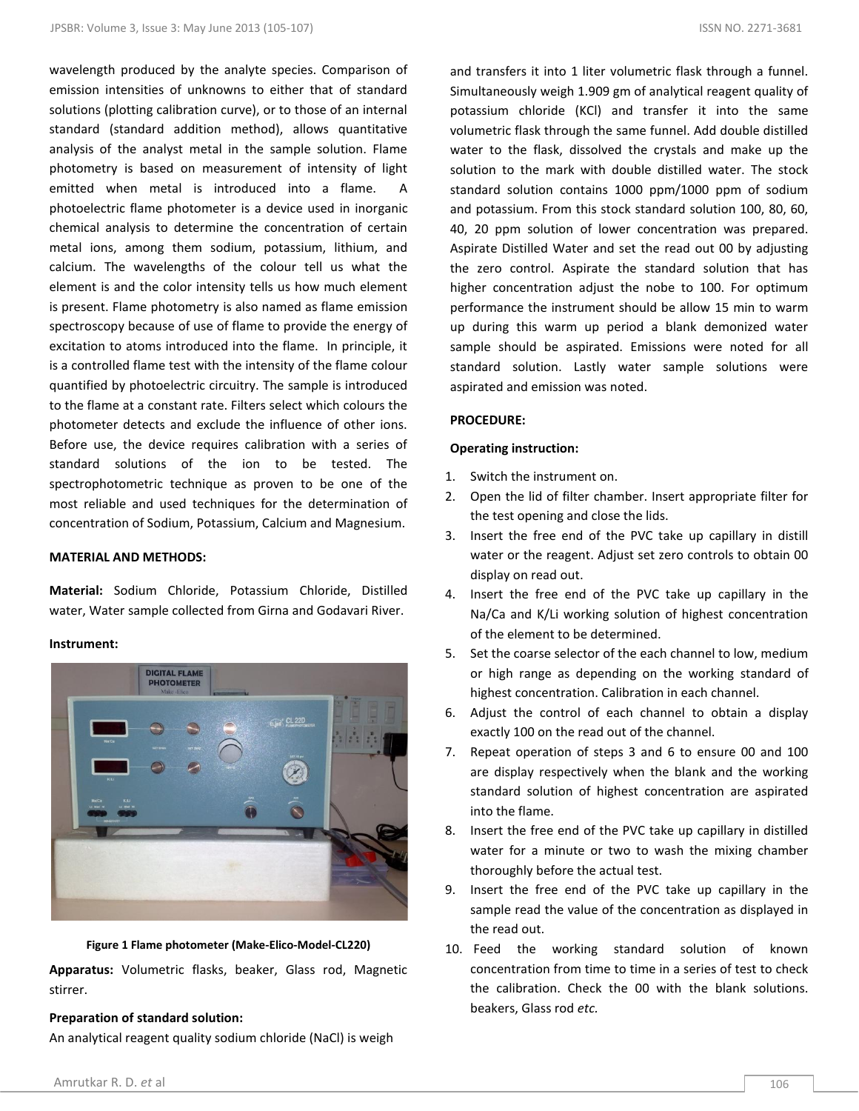wavelength produced by the analyte species. Comparison of emission intensities of unknowns to either that of standard solutions (plotting calibration curve), or to those of an internal standard (standard addition method), allows quantitative analysis of the analyst metal in the sample solution. Flame photometry is based on measurement of intensity of light emitted when metal is introduced into a flame. A photoelectric flame photometer is a device used in inorganic chemical analysis to determine the concentration of certain metal ions, among them sodium, potassium, lithium, and calcium. The wavelengths of the colour tell us what the element is and the color intensity tells us how much element is present. Flame photometry is also named as flame emission spectroscopy because of use of flame to provide the energy of excitation to atoms introduced into the flame. In principle, it is a controlled flame test with the intensity of the flame colour quantified by photoelectric circuitry. The sample is introduced to the flame at a constant rate. Filters select which colours the photometer detects and exclude the influence of other ions. Before use, the device requires calibration with a series of standard solutions of the ion to be tested. The spectrophotometric technique as proven to be one of the most reliable and used techniques for the determination of concentration of Sodium, Potassium, Calcium and Magnesium.

#### **MATERIAL AND METHODS:**

**Material:** Sodium Chloride, Potassium Chloride, Distilled water, Water sample collected from Girna and Godavari River.

#### **Instrument:**



**Figure 1 Flame photometer (Make-Elico-Model-CL220)**

**Apparatus:** Volumetric flasks, beaker, Glass rod, Magnetic stirrer.

#### **Preparation of standard solution:**

An analytical reagent quality sodium chloride (NaCl) is weigh

and transfers it into 1 liter volumetric flask through a funnel. Simultaneously weigh 1.909 gm of analytical reagent quality of potassium chloride (KCl) and transfer it into the same volumetric flask through the same funnel. Add double distilled water to the flask, dissolved the crystals and make up the solution to the mark with double distilled water. The stock standard solution contains 1000 ppm/1000 ppm of sodium and potassium. From this stock standard solution 100, 80, 60, 40, 20 ppm solution of lower concentration was prepared. Aspirate Distilled Water and set the read out 00 by adjusting the zero control. Aspirate the standard solution that has higher concentration adjust the nobe to 100. For optimum performance the instrument should be allow 15 min to warm up during this warm up period a blank demonized water sample should be aspirated. Emissions were noted for all standard solution. Lastly water sample solutions were aspirated and emission was noted.

## **PROCEDURE:**

## **Operating instruction:**

- 1. Switch the instrument on.
- 2. Open the lid of filter chamber. Insert appropriate filter for the test opening and close the lids.
- 3. Insert the free end of the PVC take up capillary in distill water or the reagent. Adjust set zero controls to obtain 00 display on read out.
- 4. Insert the free end of the PVC take up capillary in the Na/Ca and K/Li working solution of highest concentration of the element to be determined.
- 5. Set the coarse selector of the each channel to low, medium or high range as depending on the working standard of highest concentration. Calibration in each channel.
- 6. Adjust the control of each channel to obtain a display exactly 100 on the read out of the channel.
- 7. Repeat operation of steps 3 and 6 to ensure 00 and 100 are display respectively when the blank and the working standard solution of highest concentration are aspirated into the flame.
- 8. Insert the free end of the PVC take up capillary in distilled water for a minute or two to wash the mixing chamber thoroughly before the actual test.
- 9. Insert the free end of the PVC take up capillary in the sample read the value of the concentration as displayed in the read out.
- 10. Feed the working standard solution of known concentration from time to time in a series of test to check the calibration. Check the 00 with the blank solutions. beakers, Glass rod *etc.*